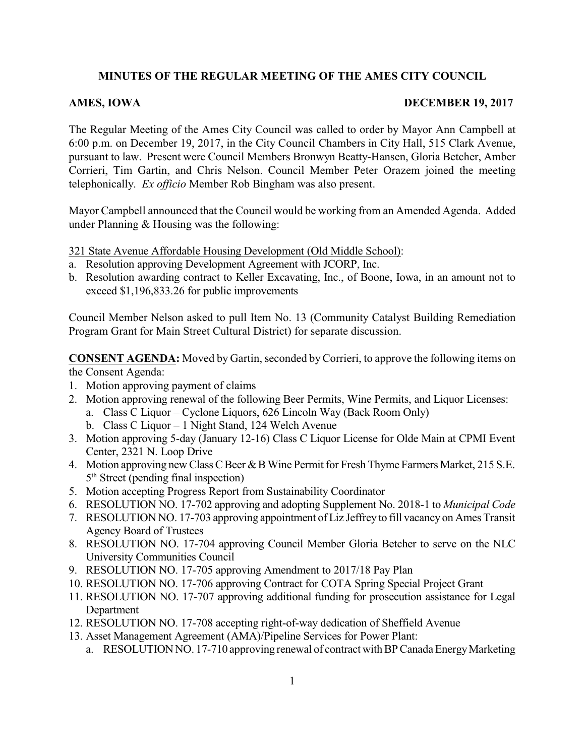## **MINUTES OF THE REGULAR MEETING OF THE AMES CITY COUNCIL**

## **AMES, IOWA** DECEMBER 19, 2017

The Regular Meeting of the Ames City Council was called to order by Mayor Ann Campbell at 6:00 p.m. on December 19, 2017, in the City Council Chambers in City Hall, 515 Clark Avenue, pursuant to law. Present were Council Members Bronwyn Beatty-Hansen, Gloria Betcher, Amber Corrieri, Tim Gartin, and Chris Nelson. Council Member Peter Orazem joined the meeting telephonically. *Ex officio* Member Rob Bingham was also present.

Mayor Campbell announced that the Council would be working from an Amended Agenda. Added under Planning & Housing was the following:

321 State Avenue Affordable Housing Development (Old Middle School):

- a. Resolution approving Development Agreement with JCORP, Inc.
- b. Resolution awarding contract to Keller Excavating, Inc., of Boone, Iowa, in an amount not to exceed \$1,196,833.26 for public improvements

Council Member Nelson asked to pull Item No. 13 (Community Catalyst Building Remediation Program Grant for Main Street Cultural District) for separate discussion.

**CONSENT AGENDA:** Moved by Gartin, seconded byCorrieri, to approve the following items on the Consent Agenda:

- 1. Motion approving payment of claims
- 2. Motion approving renewal of the following Beer Permits, Wine Permits, and Liquor Licenses:
	- a. Class C Liquor Cyclone Liquors, 626 Lincoln Way (Back Room Only)
	- b. Class C Liquor 1 Night Stand, 124 Welch Avenue
- 3. Motion approving 5-day (January 12-16) Class C Liquor License for Olde Main at CPMI Event Center, 2321 N. Loop Drive
- 4. Motion approving new Class C Beer & B Wine Permit for Fresh Thyme Farmers Market, 215 S.E. 5<sup>th</sup> Street (pending final inspection)
- 5. Motion accepting Progress Report from Sustainability Coordinator
- 6. RESOLUTION NO. 17-702 approving and adopting Supplement No. 2018-1 to *Municipal Code*
- 7. RESOLUTION NO. 17-703 approving appointment of Liz Jeffrey to fill vacancy on Ames Transit Agency Board of Trustees
- 8. RESOLUTION NO. 17-704 approving Council Member Gloria Betcher to serve on the NLC University Communities Council
- 9. RESOLUTION NO. 17-705 approving Amendment to 2017/18 Pay Plan
- 10. RESOLUTION NO. 17-706 approving Contract for COTA Spring Special Project Grant
- 11. RESOLUTION NO. 17-707 approving additional funding for prosecution assistance for Legal Department
- 12. RESOLUTION NO. 17-708 accepting right-of-way dedication of Sheffield Avenue
- 13. Asset Management Agreement (AMA)/Pipeline Services for Power Plant:
	- a. RESOLUTION NO. 17-710 approving renewal of contract with BP Canada Energy Marketing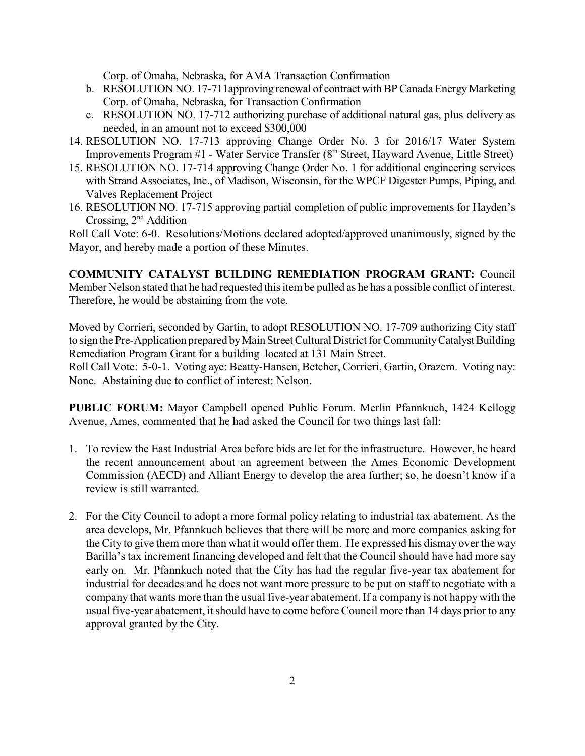Corp. of Omaha, Nebraska, for AMA Transaction Confirmation

- b. RESOLUTION NO. 17-711 approving renewal of contract with BP Canada Energy Marketing Corp. of Omaha, Nebraska, for Transaction Confirmation
- c. RESOLUTION NO. 17-712 authorizing purchase of additional natural gas, plus delivery as needed, in an amount not to exceed \$300,000
- 14. RESOLUTION NO. 17-713 approving Change Order No. 3 for 2016/17 Water System Improvements Program  $#1$  - Water Service Transfer ( $8<sup>th</sup>$  Street, Hayward Avenue, Little Street)
- 15. RESOLUTION NO. 17-714 approving Change Order No. 1 for additional engineering services with Strand Associates, Inc., of Madison, Wisconsin, for the WPCF Digester Pumps, Piping, and Valves Replacement Project
- 16. RESOLUTION NO. 17-715 approving partial completion of public improvements for Hayden's Crossing, 2<sup>nd</sup> Addition

Roll Call Vote: 6-0. Resolutions/Motions declared adopted/approved unanimously, signed by the Mayor, and hereby made a portion of these Minutes.

**COMMUNITY CATALYST BUILDING REMEDIATION PROGRAM GRANT:** Council Member Nelson stated that he had requested this item be pulled as he has a possible conflict of interest. Therefore, he would be abstaining from the vote.

Moved by Corrieri, seconded by Gartin, to adopt RESOLUTION NO. 17-709 authorizing City staff to sign the Pre-Application prepared by Main Street Cultural District for Community Catalyst Building Remediation Program Grant for a building located at 131 Main Street.

Roll Call Vote: 5-0-1. Voting aye: Beatty-Hansen, Betcher, Corrieri, Gartin, Orazem. Voting nay: None. Abstaining due to conflict of interest: Nelson.

**PUBLIC FORUM:** Mayor Campbell opened Public Forum. Merlin Pfannkuch, 1424 Kellogg Avenue, Ames, commented that he had asked the Council for two things last fall:

- 1. To review the East Industrial Area before bids are let for the infrastructure. However, he heard the recent announcement about an agreement between the Ames Economic Development Commission (AECD) and Alliant Energy to develop the area further; so, he doesn't know if a review is still warranted.
- 2. For the City Council to adopt a more formal policy relating to industrial tax abatement. As the area develops, Mr. Pfannkuch believes that there will be more and more companies asking for the City to give them more than what it would offer them. He expressed his dismay over the way Barilla's tax increment financing developed and felt that the Council should have had more say early on. Mr. Pfannkuch noted that the City has had the regular five-year tax abatement for industrial for decades and he does not want more pressure to be put on staff to negotiate with a company that wants more than the usual five-year abatement. If a company is not happy with the usual five-year abatement, it should have to come before Council more than 14 days prior to any approval granted by the City.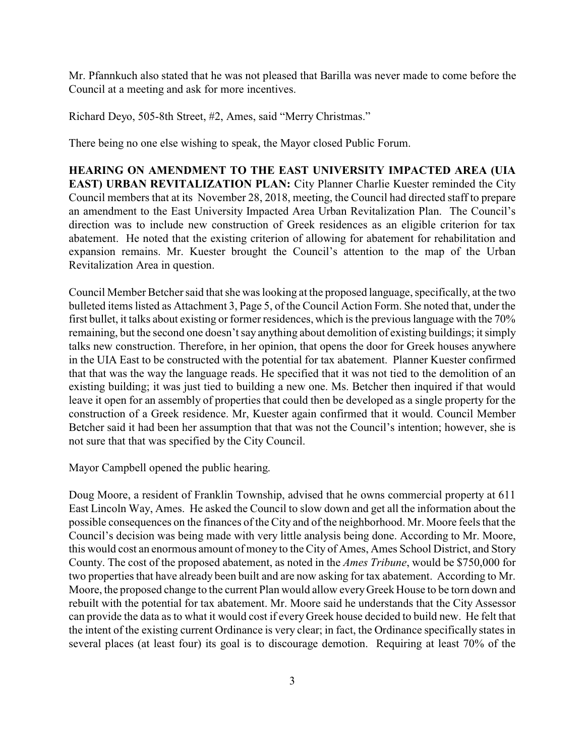Mr. Pfannkuch also stated that he was not pleased that Barilla was never made to come before the Council at a meeting and ask for more incentives.

Richard Deyo, 505-8th Street, #2, Ames, said "Merry Christmas."

There being no one else wishing to speak, the Mayor closed Public Forum.

**HEARING ON AMENDMENT TO THE EAST UNIVERSITY IMPACTED AREA (UIA EAST) URBAN REVITALIZATION PLAN:** City Planner Charlie Kuester reminded the City Council members that at its November 28, 2018, meeting, the Council had directed staff to prepare an amendment to the East University Impacted Area Urban Revitalization Plan. The Council's direction was to include new construction of Greek residences as an eligible criterion for tax abatement. He noted that the existing criterion of allowing for abatement for rehabilitation and expansion remains. Mr. Kuester brought the Council's attention to the map of the Urban Revitalization Area in question.

Council Member Betcher said that she was looking at the proposed language, specifically, at the two bulleted items listed as Attachment 3, Page 5, of the Council Action Form. She noted that, under the first bullet, it talks about existing or former residences, which is the previous language with the 70% remaining, but the second one doesn't say anything about demolition of existing buildings; it simply talks new construction. Therefore, in her opinion, that opens the door for Greek houses anywhere in the UIA East to be constructed with the potential for tax abatement. Planner Kuester confirmed that that was the way the language reads. He specified that it was not tied to the demolition of an existing building; it was just tied to building a new one. Ms. Betcher then inquired if that would leave it open for an assembly of properties that could then be developed as a single property for the construction of a Greek residence. Mr, Kuester again confirmed that it would. Council Member Betcher said it had been her assumption that that was not the Council's intention; however, she is not sure that that was specified by the City Council.

Mayor Campbell opened the public hearing.

Doug Moore, a resident of Franklin Township, advised that he owns commercial property at 611 East Lincoln Way, Ames. He asked the Council to slow down and get all the information about the possible consequences on the finances of the City and of the neighborhood. Mr. Moore feels that the Council's decision was being made with very little analysis being done. According to Mr. Moore, this would cost an enormous amount of money to the City of Ames, Ames School District, and Story County. The cost of the proposed abatement, as noted in the *Ames Tribune*, would be \$750,000 for two properties that have already been built and are now asking for tax abatement. According to Mr. Moore, the proposed change to the current Plan would allow everyGreek House to be torn down and rebuilt with the potential for tax abatement. Mr. Moore said he understands that the City Assessor can provide the data as to what it would cost if every Greek house decided to build new. He felt that the intent of the existing current Ordinance is very clear; in fact, the Ordinance specifically states in several places (at least four) its goal is to discourage demotion. Requiring at least 70% of the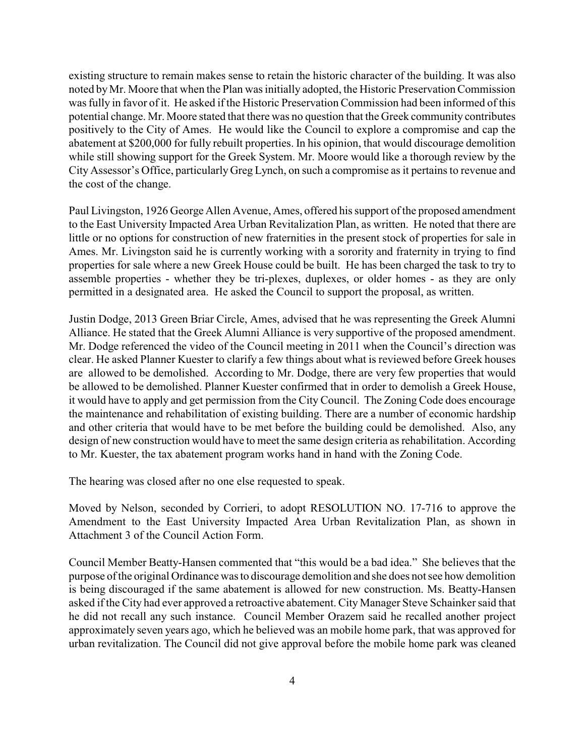existing structure to remain makes sense to retain the historic character of the building. It was also noted byMr. Moore that when the Plan was initially adopted, the Historic Preservation Commission was fully in favor of it. He asked if the Historic Preservation Commission had been informed of this potential change. Mr. Moore stated that there was no question that the Greek community contributes positively to the City of Ames. He would like the Council to explore a compromise and cap the abatement at \$200,000 for fully rebuilt properties. In his opinion, that would discourage demolition while still showing support for the Greek System. Mr. Moore would like a thorough review by the City Assessor's Office, particularly Greg Lynch, on such a compromise as it pertains to revenue and the cost of the change.

Paul Livingston, 1926 George Allen Avenue, Ames, offered his support of the proposed amendment to the East University Impacted Area Urban Revitalization Plan, as written. He noted that there are little or no options for construction of new fraternities in the present stock of properties for sale in Ames. Mr. Livingston said he is currently working with a sorority and fraternity in trying to find properties for sale where a new Greek House could be built. He has been charged the task to try to assemble properties - whether they be tri-plexes, duplexes, or older homes - as they are only permitted in a designated area. He asked the Council to support the proposal, as written.

Justin Dodge, 2013 Green Briar Circle, Ames, advised that he was representing the Greek Alumni Alliance. He stated that the Greek Alumni Alliance is very supportive of the proposed amendment. Mr. Dodge referenced the video of the Council meeting in 2011 when the Council's direction was clear. He asked Planner Kuester to clarify a few things about what is reviewed before Greek houses are allowed to be demolished. According to Mr. Dodge, there are very few properties that would be allowed to be demolished. Planner Kuester confirmed that in order to demolish a Greek House, it would have to apply and get permission from the City Council. The Zoning Code does encourage the maintenance and rehabilitation of existing building. There are a number of economic hardship and other criteria that would have to be met before the building could be demolished. Also, any design of new construction would have to meet the same design criteria as rehabilitation. According to Mr. Kuester, the tax abatement program works hand in hand with the Zoning Code.

The hearing was closed after no one else requested to speak.

Moved by Nelson, seconded by Corrieri, to adopt RESOLUTION NO. 17-716 to approve the Amendment to the East University Impacted Area Urban Revitalization Plan, as shown in Attachment 3 of the Council Action Form.

Council Member Beatty-Hansen commented that "this would be a bad idea." She believes that the purpose of the original Ordinance was to discourage demolition and she does not see how demolition is being discouraged if the same abatement is allowed for new construction. Ms. Beatty-Hansen asked if the City had ever approved a retroactive abatement. City Manager Steve Schainker said that he did not recall any such instance. Council Member Orazem said he recalled another project approximately seven years ago, which he believed was an mobile home park, that was approved for urban revitalization. The Council did not give approval before the mobile home park was cleaned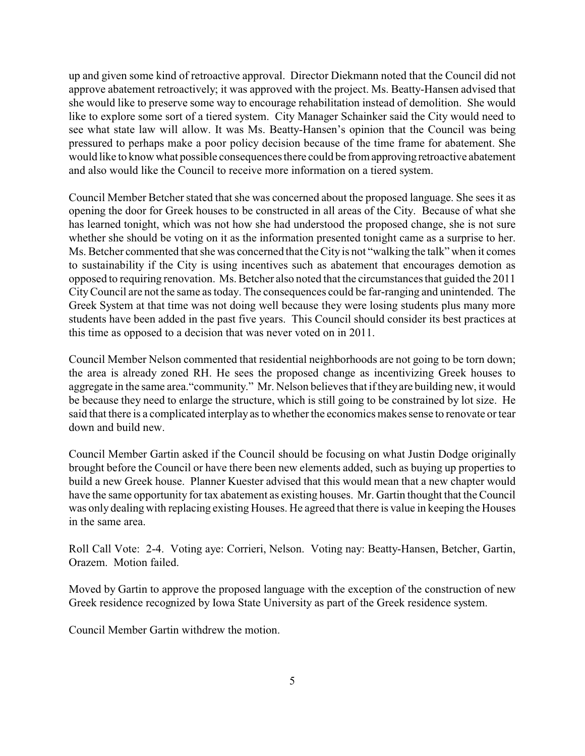up and given some kind of retroactive approval. Director Diekmann noted that the Council did not approve abatement retroactively; it was approved with the project. Ms. Beatty-Hansen advised that she would like to preserve some way to encourage rehabilitation instead of demolition. She would like to explore some sort of a tiered system. City Manager Schainker said the City would need to see what state law will allow. It was Ms. Beatty-Hansen's opinion that the Council was being pressured to perhaps make a poor policy decision because of the time frame for abatement. She would like to know what possible consequences there could be fromapprovingretroactive abatement and also would like the Council to receive more information on a tiered system.

Council Member Betcher stated that she was concerned about the proposed language. She sees it as opening the door for Greek houses to be constructed in all areas of the City. Because of what she has learned tonight, which was not how she had understood the proposed change, she is not sure whether she should be voting on it as the information presented tonight came as a surprise to her. Ms. Betcher commented that she was concerned that the City is not "walking the talk" when it comes to sustainability if the City is using incentives such as abatement that encourages demotion as opposed to requiring renovation. Ms. Betcher also noted that the circumstances that guided the 2011 CityCouncil are not the same as today. The consequences could be far-ranging and unintended. The Greek System at that time was not doing well because they were losing students plus many more students have been added in the past five years. This Council should consider its best practices at this time as opposed to a decision that was never voted on in 2011.

Council Member Nelson commented that residential neighborhoods are not going to be torn down; the area is already zoned RH. He sees the proposed change as incentivizing Greek houses to aggregate in the same area."community." Mr. Nelson believes that if theyare building new, it would be because they need to enlarge the structure, which is still going to be constrained by lot size. He said that there is a complicated interplay as to whether the economics makes sense to renovate or tear down and build new.

Council Member Gartin asked if the Council should be focusing on what Justin Dodge originally brought before the Council or have there been new elements added, such as buying up properties to build a new Greek house. Planner Kuester advised that this would mean that a new chapter would have the same opportunity for tax abatement as existing houses. Mr. Gartin thought that the Council was only dealing with replacing existing Houses. He agreed that there is value in keeping the Houses in the same area.

Roll Call Vote: 2-4. Voting aye: Corrieri, Nelson. Voting nay: Beatty-Hansen, Betcher, Gartin, Orazem. Motion failed.

Moved by Gartin to approve the proposed language with the exception of the construction of new Greek residence recognized by Iowa State University as part of the Greek residence system.

Council Member Gartin withdrew the motion.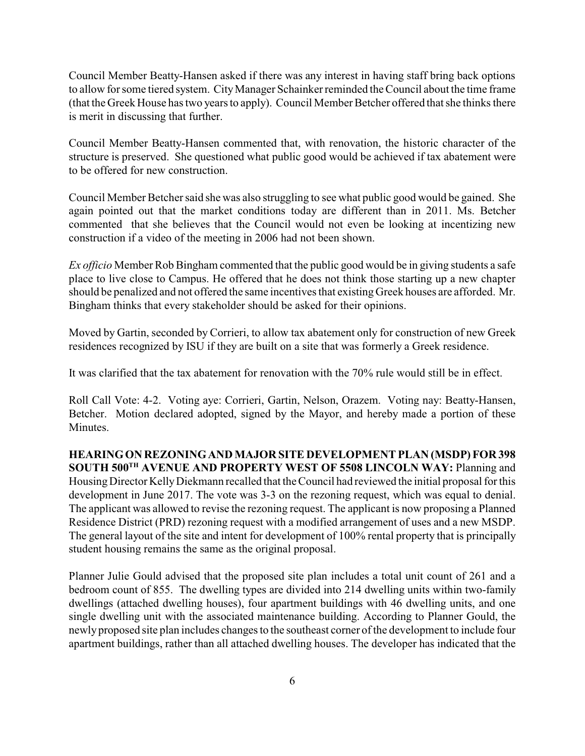Council Member Beatty-Hansen asked if there was any interest in having staff bring back options to allow for some tiered system. CityManager Schainker reminded the Council about the time frame (that the Greek House has two years to apply). Council Member Betcher offered that she thinks there is merit in discussing that further.

Council Member Beatty-Hansen commented that, with renovation, the historic character of the structure is preserved. She questioned what public good would be achieved if tax abatement were to be offered for new construction.

Council Member Betcher said she was also struggling to see what public good would be gained. She again pointed out that the market conditions today are different than in 2011. Ms. Betcher commented that she believes that the Council would not even be looking at incentizing new construction if a video of the meeting in 2006 had not been shown.

*Ex officio* Member Rob Bingham commented that the public good would be in giving students a safe place to live close to Campus. He offered that he does not think those starting up a new chapter should be penalized and not offered the same incentives that existing Greek houses are afforded. Mr. Bingham thinks that every stakeholder should be asked for their opinions.

Moved by Gartin, seconded by Corrieri, to allow tax abatement only for construction of new Greek residences recognized by ISU if they are built on a site that was formerly a Greek residence.

It was clarified that the tax abatement for renovation with the 70% rule would still be in effect.

Roll Call Vote: 4-2. Voting aye: Corrieri, Gartin, Nelson, Orazem. Voting nay: Beatty-Hansen, Betcher. Motion declared adopted, signed by the Mayor, and hereby made a portion of these Minutes.

**HEARINGON REZONINGAND MAJOR SITE DEVELOPMENT PLAN (MSDP) FOR 398 SOUTH 500TH AVENUE AND PROPERTY WEST OF 5508 LINCOLN WAY:** Planning and Housing Director KellyDiekmann recalled that the Council had reviewed the initial proposal for this development in June 2017. The vote was 3-3 on the rezoning request, which was equal to denial. The applicant was allowed to revise the rezoning request. The applicant is now proposing a Planned Residence District (PRD) rezoning request with a modified arrangement of uses and a new MSDP. The general layout of the site and intent for development of 100% rental property that is principally student housing remains the same as the original proposal.

Planner Julie Gould advised that the proposed site plan includes a total unit count of 261 and a bedroom count of 855. The dwelling types are divided into 214 dwelling units within two-family dwellings (attached dwelling houses), four apartment buildings with 46 dwelling units, and one single dwelling unit with the associated maintenance building. According to Planner Gould, the newly proposed site plan includes changes to the southeast corner of the development to include four apartment buildings, rather than all attached dwelling houses. The developer has indicated that the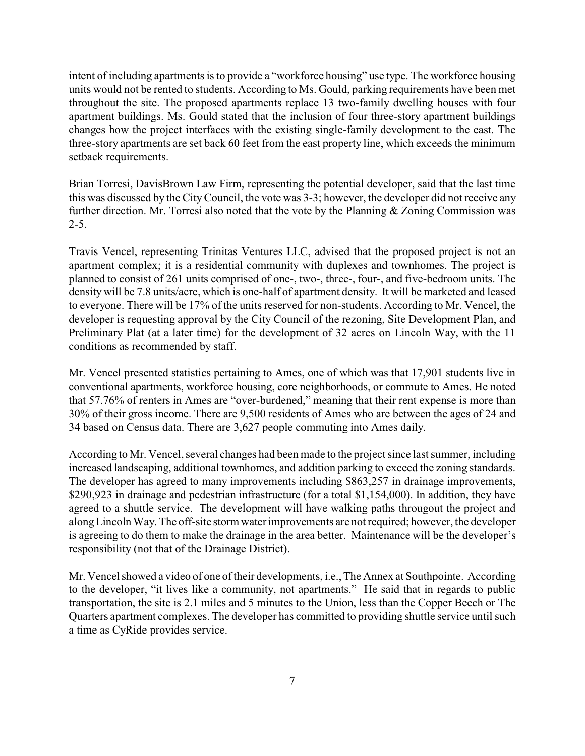intent of including apartments is to provide a "workforce housing" use type. The workforce housing units would not be rented to students. According to Ms. Gould, parking requirements have been met throughout the site. The proposed apartments replace 13 two-family dwelling houses with four apartment buildings. Ms. Gould stated that the inclusion of four three-story apartment buildings changes how the project interfaces with the existing single-family development to the east. The three-story apartments are set back 60 feet from the east property line, which exceeds the minimum setback requirements.

Brian Torresi, DavisBrown Law Firm, representing the potential developer, said that the last time this was discussed by the CityCouncil, the vote was 3-3; however, the developer did not receive any further direction. Mr. Torresi also noted that the vote by the Planning & Zoning Commission was  $2 - 5$ .

Travis Vencel, representing Trinitas Ventures LLC, advised that the proposed project is not an apartment complex; it is a residential community with duplexes and townhomes. The project is planned to consist of 261 units comprised of one-, two-, three-, four-, and five-bedroom units. The density will be 7.8 units/acre, which is one-half of apartment density. It will be marketed and leased to everyone. There will be 17% of the units reserved for non-students. According to Mr. Vencel, the developer is requesting approval by the City Council of the rezoning, Site Development Plan, and Preliminary Plat (at a later time) for the development of 32 acres on Lincoln Way, with the 11 conditions as recommended by staff.

Mr. Vencel presented statistics pertaining to Ames, one of which was that 17,901 students live in conventional apartments, workforce housing, core neighborhoods, or commute to Ames. He noted that 57.76% of renters in Ames are "over-burdened," meaning that their rent expense is more than 30% of their gross income. There are 9,500 residents of Ames who are between the ages of 24 and 34 based on Census data. There are 3,627 people commuting into Ames daily.

According to Mr. Vencel, several changes had been made to the project since last summer, including increased landscaping, additional townhomes, and addition parking to exceed the zoning standards. The developer has agreed to many improvements including \$863,257 in drainage improvements, \$290,923 in drainage and pedestrian infrastructure (for a total \$1,154,000). In addition, they have agreed to a shuttle service. The development will have walking paths througout the project and alongLincoln Way. The off-site storm water improvements are not required; however, the developer is agreeing to do them to make the drainage in the area better. Maintenance will be the developer's responsibility (not that of the Drainage District).

Mr. Vencel showed a video of one of their developments, i.e., The Annex at Southpointe. According to the developer, "it lives like a community, not apartments." He said that in regards to public transportation, the site is 2.1 miles and 5 minutes to the Union, less than the Copper Beech or The Quarters apartment complexes. The developer has committed to providing shuttle service until such a time as CyRide provides service.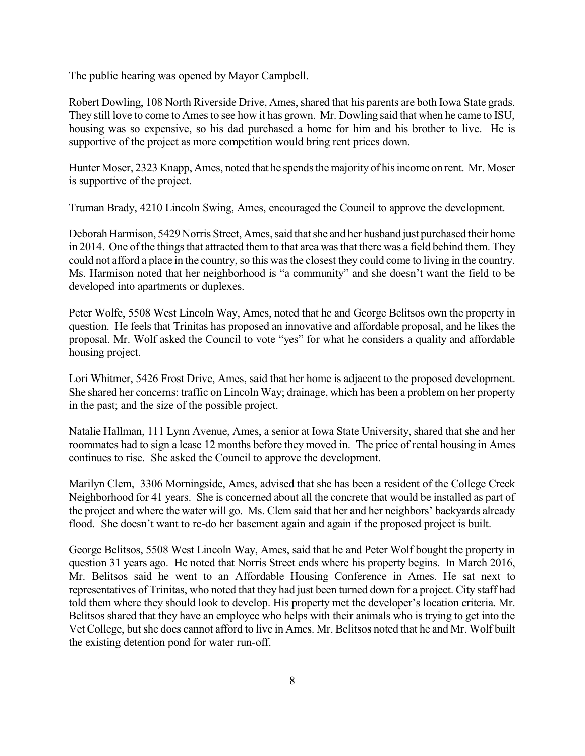The public hearing was opened by Mayor Campbell.

Robert Dowling, 108 North Riverside Drive, Ames, shared that his parents are both Iowa State grads. They still love to come to Ames to see how it has grown. Mr. Dowling said that when he came to ISU, housing was so expensive, so his dad purchased a home for him and his brother to live. He is supportive of the project as more competition would bring rent prices down.

Hunter Moser, 2323 Knapp, Ames, noted that he spends the majority of his income on rent. Mr. Moser is supportive of the project.

Truman Brady, 4210 Lincoln Swing, Ames, encouraged the Council to approve the development.

Deborah Harmison, 5429 Norris Street, Ames, said that she and her husband just purchased their home in 2014. One of the things that attracted them to that area was that there was a field behind them. They could not afford a place in the country, so this wasthe closest they could come to living in the country. Ms. Harmison noted that her neighborhood is "a community" and she doesn't want the field to be developed into apartments or duplexes.

Peter Wolfe, 5508 West Lincoln Way, Ames, noted that he and George Belitsos own the property in question. He feels that Trinitas has proposed an innovative and affordable proposal, and he likes the proposal. Mr. Wolf asked the Council to vote "yes" for what he considers a quality and affordable housing project.

Lori Whitmer, 5426 Frost Drive, Ames, said that her home is adjacent to the proposed development. She shared her concerns: traffic on Lincoln Way; drainage, which has been a problem on her property in the past; and the size of the possible project.

Natalie Hallman, 111 Lynn Avenue, Ames, a senior at Iowa State University, shared that she and her roommates had to sign a lease 12 months before they moved in. The price of rental housing in Ames continues to rise. She asked the Council to approve the development.

Marilyn Clem, 3306 Morningside, Ames, advised that she has been a resident of the College Creek Neighborhood for 41 years. She is concerned about all the concrete that would be installed as part of the project and where the water will go. Ms. Clem said that her and her neighbors' backyards already flood. She doesn't want to re-do her basement again and again if the proposed project is built.

George Belitsos, 5508 West Lincoln Way, Ames, said that he and Peter Wolf bought the property in question 31 years ago. He noted that Norris Street ends where his property begins. In March 2016, Mr. Belitsos said he went to an Affordable Housing Conference in Ames. He sat next to representatives of Trinitas, who noted that they had just been turned down for a project. City staff had told them where they should look to develop. His property met the developer's location criteria. Mr. Belitsos shared that they have an employee who helps with their animals who is trying to get into the Vet College, but she does cannot afford to live in Ames. Mr. Belitsos noted that he and Mr. Wolf built the existing detention pond for water run-off.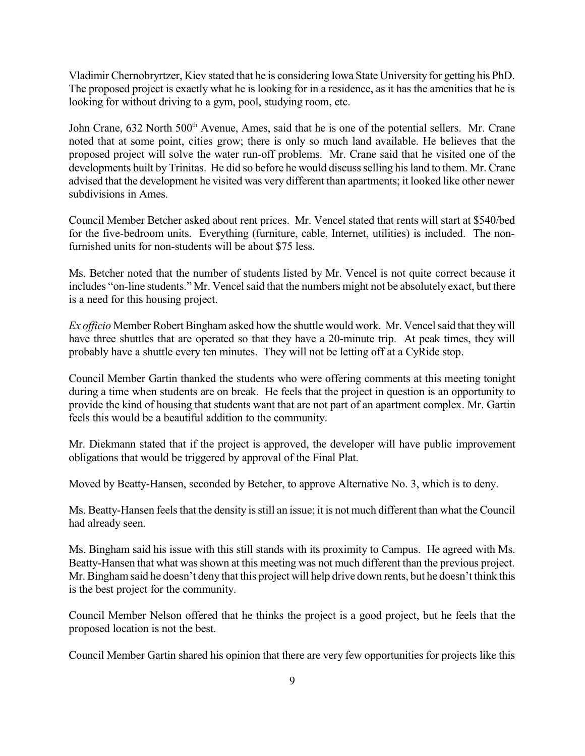Vladimir Chernobryrtzer, Kiev stated that he is considering Iowa State University for getting his PhD. The proposed project is exactly what he is looking for in a residence, as it has the amenities that he is looking for without driving to a gym, pool, studying room, etc.

John Crane, 632 North 500<sup>th</sup> Avenue, Ames, said that he is one of the potential sellers. Mr. Crane noted that at some point, cities grow; there is only so much land available. He believes that the proposed project will solve the water run-off problems. Mr. Crane said that he visited one of the developments built by Trinitas. He did so before he would discuss selling his land to them. Mr. Crane advised that the development he visited was very different than apartments; it looked like other newer subdivisions in Ames.

Council Member Betcher asked about rent prices. Mr. Vencel stated that rents will start at \$540/bed for the five-bedroom units. Everything (furniture, cable, Internet, utilities) is included. The nonfurnished units for non-students will be about \$75 less.

Ms. Betcher noted that the number of students listed by Mr. Vencel is not quite correct because it includes "on-line students." Mr. Vencel said that the numbers might not be absolutely exact, but there is a need for this housing project.

*Ex officio* Member Robert Bingham asked how the shuttle would work. Mr. Vencel said that they will have three shuttles that are operated so that they have a 20-minute trip. At peak times, they will probably have a shuttle every ten minutes. They will not be letting off at a CyRide stop.

Council Member Gartin thanked the students who were offering comments at this meeting tonight during a time when students are on break. He feels that the project in question is an opportunity to provide the kind of housing that students want that are not part of an apartment complex. Mr. Gartin feels this would be a beautiful addition to the community.

Mr. Diekmann stated that if the project is approved, the developer will have public improvement obligations that would be triggered by approval of the Final Plat.

Moved by Beatty-Hansen, seconded by Betcher, to approve Alternative No. 3, which is to deny.

Ms. Beatty-Hansen feels that the density is still an issue; it is not much different than what the Council had already seen.

Ms. Bingham said his issue with this still stands with its proximity to Campus. He agreed with Ms. Beatty-Hansen that what was shown at this meeting was not much different than the previous project. Mr. Bingham said he doesn't deny that this project will help drive down rents, but he doesn't think this is the best project for the community.

Council Member Nelson offered that he thinks the project is a good project, but he feels that the proposed location is not the best.

Council Member Gartin shared his opinion that there are very few opportunities for projects like this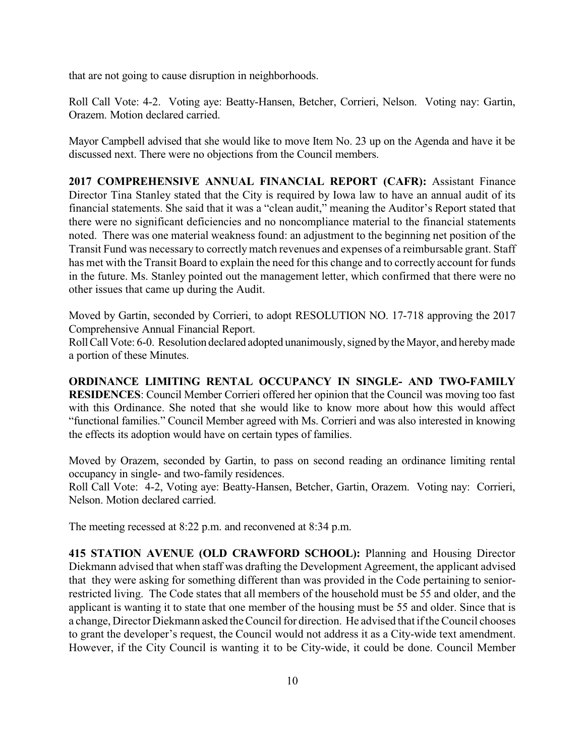that are not going to cause disruption in neighborhoods.

Roll Call Vote: 4-2. Voting aye: Beatty-Hansen, Betcher, Corrieri, Nelson. Voting nay: Gartin, Orazem. Motion declared carried.

Mayor Campbell advised that she would like to move Item No. 23 up on the Agenda and have it be discussed next. There were no objections from the Council members.

**2017 COMPREHENSIVE ANNUAL FINANCIAL REPORT (CAFR):** Assistant Finance Director Tina Stanley stated that the City is required by Iowa law to have an annual audit of its financial statements. She said that it was a "clean audit," meaning the Auditor's Report stated that there were no significant deficiencies and no noncompliance material to the financial statements noted. There was one material weakness found: an adjustment to the beginning net position of the Transit Fund was necessary to correctly match revenues and expenses of a reimbursable grant. Staff has met with the Transit Board to explain the need for this change and to correctly account for funds in the future. Ms. Stanley pointed out the management letter, which confirmed that there were no other issues that came up during the Audit.

Moved by Gartin, seconded by Corrieri, to adopt RESOLUTION NO. 17-718 approving the 2017 Comprehensive Annual Financial Report.

Roll Call Vote: 6-0. Resolution declared adopted unanimously, signed by the Mayor, and hereby made a portion of these Minutes.

**ORDINANCE LIMITING RENTAL OCCUPANCY IN SINGLE- AND TWO-FAMILY RESIDENCES**: Council Member Corrieri offered her opinion that the Council was moving too fast with this Ordinance. She noted that she would like to know more about how this would affect "functional families." Council Member agreed with Ms. Corrieri and was also interested in knowing the effects its adoption would have on certain types of families.

Moved by Orazem, seconded by Gartin, to pass on second reading an ordinance limiting rental occupancy in single- and two-family residences.

Roll Call Vote: 4-2, Voting aye: Beatty-Hansen, Betcher, Gartin, Orazem. Voting nay: Corrieri, Nelson. Motion declared carried.

The meeting recessed at 8:22 p.m. and reconvened at 8:34 p.m.

**415 STATION AVENUE (OLD CRAWFORD SCHOOL):** Planning and Housing Director Diekmann advised that when staff was drafting the Development Agreement, the applicant advised that they were asking for something different than was provided in the Code pertaining to seniorrestricted living. The Code states that all members of the household must be 55 and older, and the applicant is wanting it to state that one member of the housing must be 55 and older. Since that is a change, Director Diekmann asked the Council for direction. He advised that if the Council chooses to grant the developer's request, the Council would not address it as a City-wide text amendment. However, if the City Council is wanting it to be City-wide, it could be done. Council Member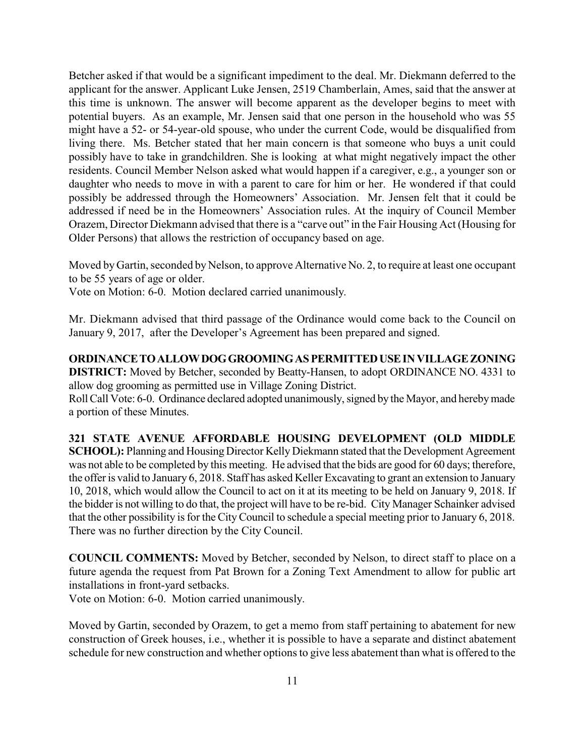Betcher asked if that would be a significant impediment to the deal. Mr. Diekmann deferred to the applicant for the answer. Applicant Luke Jensen, 2519 Chamberlain, Ames, said that the answer at this time is unknown. The answer will become apparent as the developer begins to meet with potential buyers. As an example, Mr. Jensen said that one person in the household who was 55 might have a 52- or 54-year-old spouse, who under the current Code, would be disqualified from living there. Ms. Betcher stated that her main concern is that someone who buys a unit could possibly have to take in grandchildren. She is looking at what might negatively impact the other residents. Council Member Nelson asked what would happen if a caregiver, e.g., a younger son or daughter who needs to move in with a parent to care for him or her. He wondered if that could possibly be addressed through the Homeowners' Association. Mr. Jensen felt that it could be addressed if need be in the Homeowners' Association rules. At the inquiry of Council Member Orazem, Director Diekmann advised that there is a "carve out" in the Fair Housing Act (Housing for Older Persons) that allows the restriction of occupancy based on age.

Moved by Gartin, seconded by Nelson, to approve Alternative No. 2, to require at least one occupant to be 55 years of age or older.

Vote on Motion: 6-0. Motion declared carried unanimously.

Mr. Diekmann advised that third passage of the Ordinance would come back to the Council on January 9, 2017, after the Developer's Agreement has been prepared and signed.

**ORDINANCETOALLOWDOGGROOMINGASPERMITTEDUSEINVILLAGEZONING DISTRICT:** Moved by Betcher, seconded by Beatty-Hansen, to adopt ORDINANCE NO. 4331 to allow dog grooming as permitted use in Village Zoning District.

Roll Call Vote: 6-0. Ordinance declared adopted unanimously, signed by the Mayor, and hereby made a portion of these Minutes.

**321 STATE AVENUE AFFORDABLE HOUSING DEVELOPMENT (OLD MIDDLE SCHOOL):** Planning and Housing Director Kelly Diekmann stated that the Development Agreement was not able to be completed by this meeting. He advised that the bids are good for 60 days; therefore, the offeris valid to January 6, 2018. Staff has asked Keller Excavating to grant an extension to January 10, 2018, which would allow the Council to act on it at its meeting to be held on January 9, 2018. If the bidder is not willing to do that, the project will have to be re-bid. City Manager Schainker advised that the other possibility is for the City Council to schedule a special meeting prior to January 6, 2018. There was no further direction by the City Council.

**COUNCIL COMMENTS:** Moved by Betcher, seconded by Nelson, to direct staff to place on a future agenda the request from Pat Brown for a Zoning Text Amendment to allow for public art installations in front-yard setbacks.

Vote on Motion: 6-0. Motion carried unanimously.

Moved by Gartin, seconded by Orazem, to get a memo from staff pertaining to abatement for new construction of Greek houses, i.e., whether it is possible to have a separate and distinct abatement schedule for new construction and whether options to give less abatement than what is offered to the